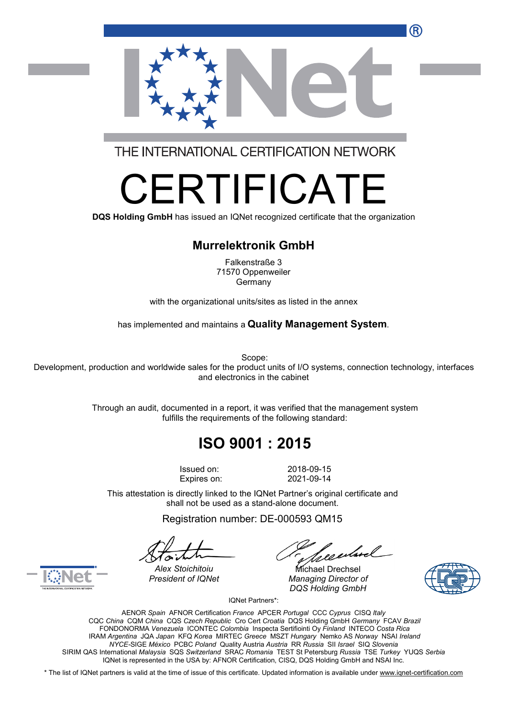

THE INTERNATIONAL CERTIFICATION NETWORK

# RTIFICA

**DQS Holding GmbH** has issued an IQNet recognized certificate that the organization

#### **Murrelektronik GmbH**

Falkenstraße 3 71570 Oppenweiler Germany

with the organizational units/sites as listed in the annex

has implemented and maintains a **Quality Management System**.

Scope:

Development, production and worldwide sales for the product units of I/O systems, connection technology, interfaces and electronics in the cabinet

> Through an audit, documented in a report, it was verified that the management system fulfills the requirements of the following standard:

## **ISO 9001 : 2015**

Issued on: 2018-09-15 Expires on: 2021-09-14

This attestation is directly linked to the IQNet Partner's original certificate and shall not be used as a stand-alone document.

Registration number: DE-000593 QM15

*President of IQNet Managing Director of DQS Holding GmbH*





*Alex Stoichitoiu* Michael Drechsel

IQNet Partners\*:

AENOR *Spain* AFNOR Certification *France* APCER *Portugal* CCC *Cyprus* CISQ *Italy* CQC *China* CQM *China* CQS *Czech Republic* Cro Cert *Croatia* DQS Holding GmbH *Germany* FCAV *Brazil* FONDONORMA *Venezuela* ICONTEC *Colombia* Inspecta Sertifiointi Oy *Finland* INTECO *Costa Rica* IRAM *Argentina* JQA *Japan* KFQ *Korea* MIRTEC *Greece* MSZT *Hungary* Nemko AS *Norway* NSAI *Ireland NYCE-*SIGE *México* PCBC *Poland* Quality Austria *Austria* RR *Russia* SII *Israel* SIQ *Slovenia* SIRIM QAS International *Malaysia* SQS *Switzerland* SRAC *Romania* TEST St Petersburg *Russia* TSE *Turkey* YUQS *Serbia* IQNet is represented in the USA by: AFNOR Certification, CISQ, DQS Holding GmbH and NSAI Inc.

\* The list of IQNet partners is valid at the time of issue of this certificate. Updated information is available under [www.iqnet-certification.com](http://www.iqnet-certification.com)